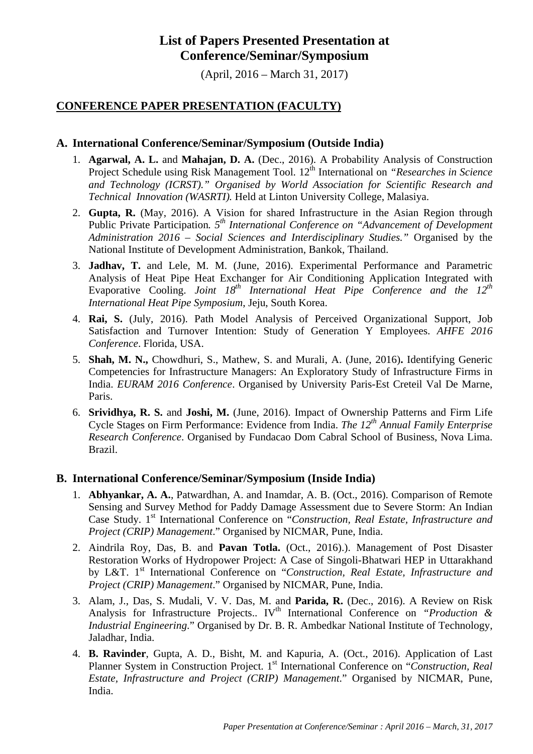# **List of Papers Presented Presentation at Conference/Seminar/Symposium**

(April, 2016 – March 31, 2017)

# **CONFERENCE PAPER PRESENTATION (FACULTY)**

# **A. International Conference/Seminar/Symposium (Outside India)**

- 1. **Agarwal, A. L.** and **Mahajan, D. A.** (Dec., 2016). A Probability Analysis of Construction Project Schedule using Risk Management Tool. 12<sup>th</sup> International on *"Researches in Science and Technology (ICRST)." Organised by World Association for Scientific Research and Technical Innovation (WASRTI).* Held at Linton University College, Malasiya.
- 2. **Gupta, R.** (May, 2016). A Vision for shared Infrastructure in the Asian Region through Public Private Participation*. 5th International Conference on "Advancement of Development Administration 2016 – Social Sciences and Interdisciplinary Studies."* Organised by the National Institute of Development Administration, Bankok, Thailand.
- 3. **Jadhav, T.** and Lele, M. M. (June, 2016). Experimental Performance and Parametric Analysis of Heat Pipe Heat Exchanger for Air Conditioning Application Integrated with Evaporative Cooling. *Joint 18th International Heat Pipe Conference and the 12th International Heat Pipe Symposium*, Jeju, South Korea.
- 4. **Rai, S.** (July, 2016). Path Model Analysis of Perceived Organizational Support, Job Satisfaction and Turnover Intention: Study of Generation Y Employees. *AHFE 2016 Conference*. Florida, USA.
- 5. **Shah, M. N.,** Chowdhuri, S., Mathew, S. and Murali, A. (June, 2016)**.** Identifying Generic Competencies for Infrastructure Managers: An Exploratory Study of Infrastructure Firms in India. *EURAM 2016 Conference*. Organised by University Paris-Est Creteil Val De Marne, Paris.
- 6. **Srividhya, R. S.** and **Joshi, M.** (June, 2016). Impact of Ownership Patterns and Firm Life Cycle Stages on Firm Performance: Evidence from India. *The 12th Annual Family Enterprise Research Conference*. Organised by Fundacao Dom Cabral School of Business, Nova Lima. Brazil.

#### **B. International Conference/Seminar/Symposium (Inside India)**

- 1. **Abhyankar, A. A.**, Patwardhan, A. and Inamdar, A. B. (Oct., 2016). Comparison of Remote Sensing and Survey Method for Paddy Damage Assessment due to Severe Storm: An Indian Case Study. 1<sup>st</sup> International Conference on "*Construction, Real Estate, Infrastructure and Project (CRIP) Management*." Organised by NICMAR, Pune, India.
- 2. Aindrila Roy, Das, B. and **Pavan Totla.** (Oct., 2016).). Management of Post Disaster Restoration Works of Hydropower Project: A Case of Singoli-Bhatwari HEP in Uttarakhand by L&T. 1<sup>st</sup> International Conference on "Construction, Real Estate, Infrastructure and *Project (CRIP) Management*." Organised by NICMAR, Pune, India.
- 3. Alam, J., Das, S. Mudali, V. V. Das, M. and **Parida, R.** (Dec., 2016). A Review on Risk Analysis for Infrastructure Projects.. IV<sup>th</sup> International Conference on *"Production & Industrial Engineering*." Organised by Dr. B. R. Ambedkar National Institute of Technology, Jaladhar, India.
- 4. **B. Ravinder**, Gupta, A. D., Bisht, M. and Kapuria, A. (Oct., 2016). Application of Last Planner System in Construction Project. 1<sup>st</sup> International Conference on "*Construction, Real Estate, Infrastructure and Project (CRIP) Management*." Organised by NICMAR, Pune, India.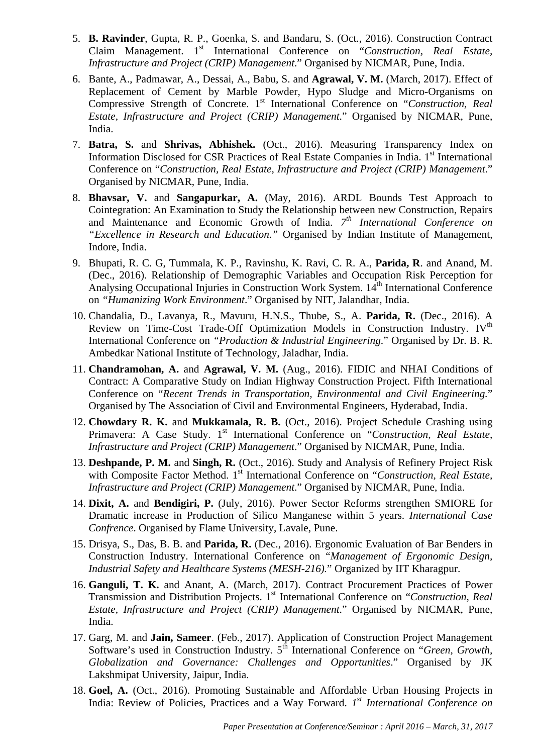- 5. **B. Ravinder**, Gupta, R. P., Goenka, S. and Bandaru, S. (Oct., 2016). Construction Contract Claim Management. 1<sup>st</sup> International Conference on "Construction, Real Estate, *Infrastructure and Project (CRIP) Management*." Organised by NICMAR, Pune, India.
- 6. Bante, A., Padmawar, A., Dessai, A., Babu, S. and **Agrawal, V. M.** (March, 2017). Effect of Replacement of Cement by Marble Powder, Hypo Sludge and Micro-Organisms on Compressive Strength of Concrete. 1<sup>st</sup> International Conference on "*Construction, Real Estate, Infrastructure and Project (CRIP) Management*." Organised by NICMAR, Pune, India.
- 7. **Batra, S.** and **Shrivas, Abhishek.** (Oct., 2016). Measuring Transparency Index on Information Disclosed for CSR Practices of Real Estate Companies in India. 1<sup>st</sup> International Conference on "*Construction, Real Estate, Infrastructure and Project (CRIP) Management*." Organised by NICMAR, Pune, India.
- 8. **Bhavsar, V.** and **Sangapurkar, A.** (May, 2016). ARDL Bounds Test Approach to Cointegration: An Examination to Study the Relationship between new Construction, Repairs and Maintenance and Economic Growth of India. *7th International Conference on "Excellence in Research and Education."* Organised by Indian Institute of Management, Indore, India.
- 9. Bhupati, R. C. G, Tummala, K. P., Ravinshu, K. Ravi, C. R. A., **Parida, R**. and Anand, M. (Dec., 2016). Relationship of Demographic Variables and Occupation Risk Perception for Analysing Occupational Injuries in Construction Work System. 14<sup>th</sup> International Conference on *"Humanizing Work Environment*." Organised by NIT, Jalandhar, India.
- 10. Chandalia, D., Lavanya, R., Mavuru, H.N.S., Thube, S., A. **Parida, R.** (Dec., 2016). A Review on Time-Cost Trade-Off Optimization Models in Construction Industry. IV<sup>th</sup> International Conference on *"Production & Industrial Engineering*." Organised by Dr. B. R. Ambedkar National Institute of Technology, Jaladhar, India.
- 11. **Chandramohan, A.** and **Agrawal, V. M.** (Aug., 2016). FIDIC and NHAI Conditions of Contract: A Comparative Study on Indian Highway Construction Project. Fifth International Conference on "*Recent Trends in Transportation, Environmental and Civil Engineering.*" Organised by The Association of Civil and Environmental Engineers, Hyderabad, India.
- 12. **Chowdary R. K.** and **Mukkamala, R. B.** (Oct., 2016). Project Schedule Crashing using Primavera: A Case Study. 1<sup>st</sup> International Conference on "Construction, Real Estate, *Infrastructure and Project (CRIP) Management*." Organised by NICMAR, Pune, India.
- 13. **Deshpande, P. M.** and **Singh, R.** (Oct., 2016). Study and Analysis of Refinery Project Risk with Composite Factor Method. 1<sup>st</sup> International Conference on "*Construction, Real Estate*, *Infrastructure and Project (CRIP) Management*." Organised by NICMAR, Pune, India.
- 14. **Dixit, A.** and **Bendigiri, P.** (July, 2016). Power Sector Reforms strengthen SMIORE for Dramatic increase in Production of Silico Manganese within 5 years. *International Case Confrence*. Organised by Flame University, Lavale, Pune.
- 15. Drisya, S., Das, B. B. and **Parida, R.** (Dec., 2016). Ergonomic Evaluation of Bar Benders in Construction Industry. International Conference on "*Management of Ergonomic Design, Industrial Safety and Healthcare Systems (MESH-216).*" Organized by IIT Kharagpur.
- 16. **Ganguli, T. K.** and Anant, A. (March, 2017). Contract Procurement Practices of Power Transmission and Distribution Projects. 1<sup>st</sup> International Conference on "*Construction, Real Estate, Infrastructure and Project (CRIP) Management*." Organised by NICMAR, Pune, India.
- 17. Garg, M. and **Jain, Sameer**. (Feb., 2017). Application of Construction Project Management Software's used in Construction Industry. 5<sup>th</sup> International Conference on "*Green, Growth, Globalization and Governance: Challenges and Opportunities*." Organised by JK Lakshmipat University, Jaipur, India.
- 18. **Goel, A.** (Oct., 2016). Promoting Sustainable and Affordable Urban Housing Projects in India: Review of Policies, Practices and a Way Forward. *1st International Conference on*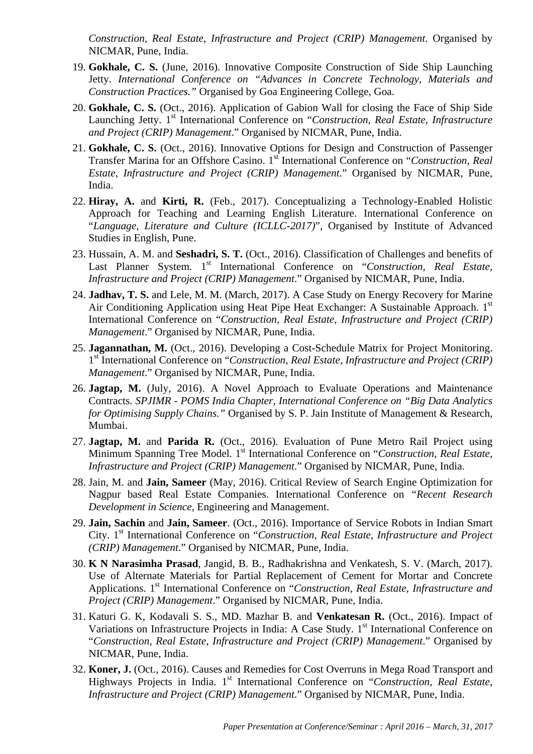*Construction, Real Estate, Infrastructure and Project (CRIP) Management*. Organised by NICMAR, Pune, India.

- 19. **Gokhale, C. S.** (June, 2016). Innovative Composite Construction of Side Ship Launching Jetty. *International Conference on "Advances in Concrete Technology, Materials and Construction Practices."* Organised by Goa Engineering College, Goa.
- 20. **Gokhale, C. S.** (Oct., 2016). Application of Gabion Wall for closing the Face of Ship Side Launching Jetty. 1<sup>st</sup> International Conference on "Construction, Real Estate, Infrastructure *and Project (CRIP) Management*." Organised by NICMAR, Pune, India.
- 21. **Gokhale, C. S.** (Oct., 2016). Innovative Options for Design and Construction of Passenger Transfer Marina for an Offshore Casino. 1st International Conference on "*Construction, Real Estate, Infrastructure and Project (CRIP) Management*." Organised by NICMAR, Pune, India.
- 22. **Hiray, A.** and **Kirti, R.** (Feb., 2017). Conceptualizing a Technology-Enabled Holistic Approach for Teaching and Learning English Literature. International Conference on "*Language, Literature and Culture (ICLLC-2017)*", Organised by Institute of Advanced Studies in English, Pune.
- 23. Hussain, A. M. and **Seshadri, S. T.** (Oct., 2016). Classification of Challenges and benefits of Last Planner System. 1<sup>st</sup> International Conference on "Construction, Real Estate, *Infrastructure and Project (CRIP) Management*." Organised by NICMAR, Pune, India.
- 24. **Jadhav, T. S.** and Lele, M. M. (March, 2017). A Case Study on Energy Recovery for Marine Air Conditioning Application using Heat Pipe Heat Exchanger: A Sustainable Approach. 1<sup>st</sup> International Conference on "*Construction, Real Estate, Infrastructure and Project (CRIP) Management*." Organised by NICMAR, Pune, India.
- 25. **Jagannathan, M.** (Oct., 2016). Developing a Cost-Schedule Matrix for Project Monitoring. 1st International Conference on "*Construction, Real Estate, Infrastructure and Project (CRIP) Management*." Organised by NICMAR, Pune, India.
- 26. **Jagtap, M.** (July, 2016). A Novel Approach to Evaluate Operations and Maintenance Contracts. *SPJIMR - POMS India Chapter, International Conference on "Big Data Analytics for Optimising Supply Chains."* Organised by S. P. Jain Institute of Management & Research, Mumbai.
- 27. **Jagtap, M.** and **Parida R.** (Oct., 2016). Evaluation of Pune Metro Rail Project using Minimum Spanning Tree Model. 1<sup>st</sup> International Conference on "*Construction, Real Estate*, *Infrastructure and Project (CRIP) Management*." Organised by NICMAR, Pune, India.
- 28. Jain, M. and **Jain, Sameer** (May, 2016). Critical Review of Search Engine Optimization for Nagpur based Real Estate Companies. International Conference on *"Recent Research Development in Science*, Engineering and Management.
- 29. **Jain, Sachin** and **Jain, Sameer**. (Oct., 2016). Importance of Service Robots in Indian Smart City. 1st International Conference on "*Construction, Real Estate, Infrastructure and Project (CRIP) Management*." Organised by NICMAR, Pune, India.
- 30. **K N Narasimha Prasad**, Jangid, B. B., Radhakrishna and Venkatesh, S. V. (March, 2017). Use of Alternate Materials for Partial Replacement of Cement for Mortar and Concrete Applications. 1<sup>st</sup> International Conference on "*Construction, Real Estate, Infrastructure and Project (CRIP) Management*." Organised by NICMAR, Pune, India.
- 31. Katuri G. K, Kodavali S. S., MD. Mazhar B. and **Venkatesan R.** (Oct., 2016). Impact of Variations on Infrastructure Projects in India: A Case Study. 1<sup>st</sup> International Conference on "*Construction, Real Estate, Infrastructure and Project (CRIP) Management*." Organised by NICMAR, Pune, India.
- 32. **Koner, J.** (Oct., 2016). Causes and Remedies for Cost Overruns in Mega Road Transport and Highways Projects in India. 1<sup>st</sup> International Conference on "Construction, Real Estate, *Infrastructure and Project (CRIP) Management*." Organised by NICMAR, Pune, India.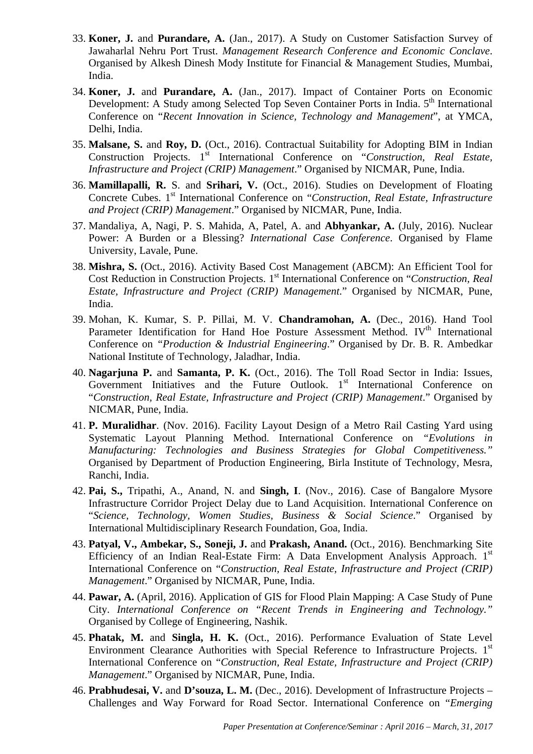- 33. **Koner, J.** and **Purandare, A.** (Jan., 2017). A Study on Customer Satisfaction Survey of Jawaharlal Nehru Port Trust. *Management Research Conference and Economic Conclave*. Organised by Alkesh Dinesh Mody Institute for Financial & Management Studies, Mumbai, India.
- 34. **Koner, J.** and **Purandare, A.** (Jan., 2017). Impact of Container Ports on Economic Development: A Study among Selected Top Seven Container Ports in India. 5<sup>th</sup> International Conference on "*Recent Innovation in Science, Technology and Management*", at YMCA, Delhi, India.
- 35. **Malsane, S.** and **Roy, D.** (Oct., 2016). Contractual Suitability for Adopting BIM in Indian Construction Projects. 1<sup>st</sup> International Conference on "Construction, Real Estate, *Infrastructure and Project (CRIP) Management*." Organised by NICMAR, Pune, India.
- 36. **Mamillapalli, R.** S. and **Srihari, V.** (Oct., 2016). Studies on Development of Floating Concrete Cubes. 1<sup>st</sup> International Conference on "*Construction, Real Estate, Infrastructure and Project (CRIP) Management*." Organised by NICMAR, Pune, India.
- 37. Mandaliya, A, Nagi, P. S. Mahida, A, Patel, A. and **Abhyankar, A.** (July, 2016). Nuclear Power: A Burden or a Blessing? *International Case Conference*. Organised by Flame University, Lavale, Pune.
- 38. **Mishra, S.** (Oct., 2016). Activity Based Cost Management (ABCM): An Efficient Tool for Cost Reduction in Construction Projects. 1<sup>st</sup> International Conference on "*Construction, Real Estate, Infrastructure and Project (CRIP) Management*." Organised by NICMAR, Pune, India.
- 39. Mohan, K. Kumar, S. P. Pillai, M. V. **Chandramohan, A.** (Dec., 2016). Hand Tool Parameter Identification for Hand Hoe Posture Assessment Method. IV<sup>th</sup> International Conference on *"Production & Industrial Engineering*." Organised by Dr. B. R. Ambedkar National Institute of Technology, Jaladhar, India.
- 40. **Nagarjuna P.** and **Samanta, P. K.** (Oct., 2016). The Toll Road Sector in India: Issues, Government Initiatives and the Future Outlook.  $1<sup>st</sup>$  International Conference on "*Construction, Real Estate, Infrastructure and Project (CRIP) Management*." Organised by NICMAR, Pune, India.
- 41. **P. Muralidhar**. (Nov. 2016). Facility Layout Design of a Metro Rail Casting Yard using Systematic Layout Planning Method. International Conference on *"Evolutions in Manufacturing: Technologies and Business Strategies for Global Competitiveness."*  Organised by Department of Production Engineering, Birla Institute of Technology, Mesra, Ranchi, India.
- 42. **Pai, S.,** Tripathi, A., Anand, N. and **Singh, I**. (Nov., 2016). Case of Bangalore Mysore Infrastructure Corridor Project Delay due to Land Acquisition. International Conference on "*Science, Technology, Women Studies, Business & Social Science*." Organised by International Multidisciplinary Research Foundation, Goa, India.
- 43. **Patyal, V., Ambekar, S., Soneji, J.** and **Prakash, Anand.** (Oct., 2016). Benchmarking Site Efficiency of an Indian Real-Estate Firm: A Data Envelopment Analysis Approach.  $1<sup>st</sup>$ International Conference on "*Construction, Real Estate, Infrastructure and Project (CRIP) Management*." Organised by NICMAR, Pune, India.
- 44. **Pawar, A.** (April, 2016). Application of GIS for Flood Plain Mapping: A Case Study of Pune City. *International Conference on "Recent Trends in Engineering and Technology."* Organised by College of Engineering, Nashik.
- 45. **Phatak, M.** and **Singla, H. K.** (Oct., 2016). Performance Evaluation of State Level Environment Clearance Authorities with Special Reference to Infrastructure Projects. 1<sup>st</sup> International Conference on "*Construction, Real Estate, Infrastructure and Project (CRIP) Management*." Organised by NICMAR, Pune, India.
- 46. **Prabhudesai, V.** and **D'souza, L. M.** (Dec., 2016). Development of Infrastructure Projects Challenges and Way Forward for Road Sector. International Conference on "*Emerging*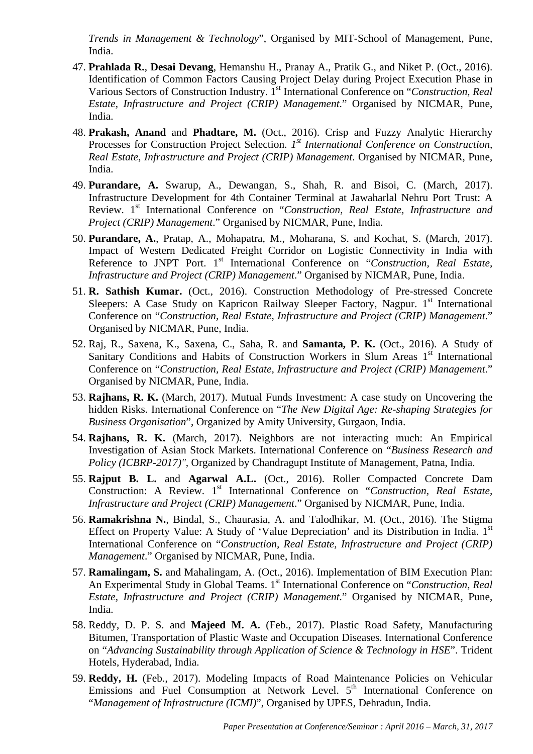*Trends in Management & Technology*", Organised by MIT-School of Management, Pune, India.

- 47. **Prahlada R.**, **Desai Devang**, Hemanshu H., Pranay A., Pratik G., and Niket P. (Oct., 2016). Identification of Common Factors Causing Project Delay during Project Execution Phase in Various Sectors of Construction Industry. 1st International Conference on "*Construction, Real Estate, Infrastructure and Project (CRIP) Management*." Organised by NICMAR, Pune, India.
- 48. **Prakash, Anand** and **Phadtare, M.** (Oct., 2016). Crisp and Fuzzy Analytic Hierarchy Processes for Construction Project Selection. *1st International Conference on Construction, Real Estate, Infrastructure and Project (CRIP) Management*. Organised by NICMAR, Pune, India.
- 49. **Purandare, A.** Swarup, A., Dewangan, S., Shah, R. and Bisoi, C. (March, 2017). Infrastructure Development for 4th Container Terminal at Jawaharlal Nehru Port Trust: A Review. 1<sup>st</sup> International Conference on "Construction, Real Estate, Infrastructure and *Project (CRIP) Management*." Organised by NICMAR, Pune, India.
- 50. **Purandare, A.**, Pratap, A., Mohapatra, M., Moharana, S. and Kochat, S. (March, 2017). Impact of Western Dedicated Freight Corridor on Logistic Connectivity in India with Reference to JNPT Port. 1<sup>st</sup> International Conference on "Construction, Real Estate, *Infrastructure and Project (CRIP) Management*." Organised by NICMAR, Pune, India.
- 51. **R. Sathish Kumar.** (Oct., 2016). Construction Methodology of Pre-stressed Concrete Sleepers: A Case Study on Kapricon Railway Sleeper Factory, Nagpur. 1<sup>st</sup> International Conference on "*Construction, Real Estate, Infrastructure and Project (CRIP) Management*." Organised by NICMAR, Pune, India.
- 52. Raj, R., Saxena, K., Saxena, C., Saha, R. and **Samanta, P. K.** (Oct., 2016). A Study of Sanitary Conditions and Habits of Construction Workers in Slum Areas 1<sup>st</sup> International Conference on "*Construction, Real Estate, Infrastructure and Project (CRIP) Management*." Organised by NICMAR, Pune, India.
- 53. **Rajhans, R. K.** (March, 2017). Mutual Funds Investment: A case study on Uncovering the hidden Risks. International Conference on "*The New Digital Age: Re-shaping Strategies for Business Organisation*", Organized by Amity University, Gurgaon, India.
- 54. **Rajhans, R. K.** (March, 2017). Neighbors are not interacting much: An Empirical Investigation of Asian Stock Markets. International Conference on "*Business Research and Policy (ICBRP-2017)",* Organized by Chandragupt Institute of Management, Patna, India.
- 55. **Rajput B. L.** and **Agarwal A.L.** (Oct., 2016). Roller Compacted Concrete Dam Construction: A Review. 1<sup>st</sup> International Conference on "Construction, Real Estate, *Infrastructure and Project (CRIP) Management*." Organised by NICMAR, Pune, India.
- 56. **Ramakrishna N.**, Bindal, S., Chaurasia, A. and Talodhikar, M. (Oct., 2016). The Stigma Effect on Property Value: A Study of 'Value Depreciation' and its Distribution in India.  $1<sup>st</sup>$ International Conference on "*Construction, Real Estate, Infrastructure and Project (CRIP) Management*." Organised by NICMAR, Pune, India.
- 57. **Ramalingam, S.** and Mahalingam, A. (Oct., 2016). Implementation of BIM Execution Plan: An Experimental Study in Global Teams. 1<sup>st</sup> International Conference on "*Construction, Real Estate, Infrastructure and Project (CRIP) Management*." Organised by NICMAR, Pune, India.
- 58. Reddy, D. P. S. and **Majeed M. A.** (Feb., 2017). Plastic Road Safety, Manufacturing Bitumen, Transportation of Plastic Waste and Occupation Diseases. International Conference on "*Advancing Sustainability through Application of Science & Technology in HSE*". Trident Hotels, Hyderabad, India.
- 59. **Reddy, H.** (Feb., 2017). Modeling Impacts of Road Maintenance Policies on Vehicular Emissions and Fuel Consumption at Network Level.  $5<sup>th</sup>$  International Conference on "*Management of Infrastructure (ICMI)*", Organised by UPES, Dehradun, India.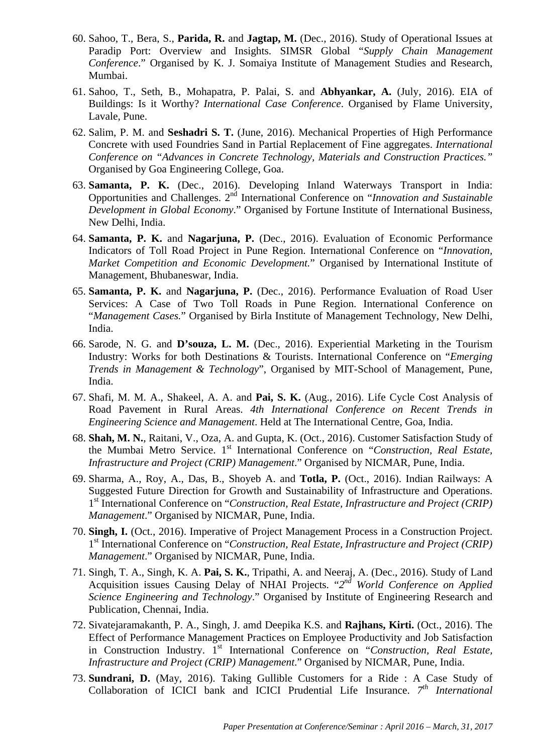- 60. Sahoo, T., Bera, S., **Parida, R.** and **Jagtap, M.** (Dec., 2016). Study of Operational Issues at Paradip Port: Overview and Insights. SIMSR Global "*Supply Chain Management Conference*." Organised by K. J. Somaiya Institute of Management Studies and Research, Mumbai.
- 61. Sahoo, T., Seth, B., Mohapatra, P. Palai, S. and **Abhyankar, A.** (July, 2016). EIA of Buildings: Is it Worthy? *International Case Conference*. Organised by Flame University, Lavale, Pune.
- 62. Salim, P. M. and **Seshadri S. T.** (June, 2016). Mechanical Properties of High Performance Concrete with used Foundries Sand in Partial Replacement of Fine aggregates. *International Conference on "Advances in Concrete Technology, Materials and Construction Practices."* Organised by Goa Engineering College, Goa.
- 63. **Samanta, P. K.** (Dec., 2016). Developing Inland Waterways Transport in India: Opportunities and Challenges. 2nd International Conference on "*Innovation and Sustainable Development in Global Economy*." Organised by Fortune Institute of International Business, New Delhi, India.
- 64. **Samanta, P. K.** and **Nagarjuna, P.** (Dec., 2016). Evaluation of Economic Performance Indicators of Toll Road Project in Pune Region. International Conference on "*Innovation, Market Competition and Economic Development.*" Organised by International Institute of Management, Bhubaneswar, India.
- 65. **Samanta, P. K.** and **Nagarjuna, P.** (Dec., 2016). Performance Evaluation of Road User Services: A Case of Two Toll Roads in Pune Region. International Conference on "*Management Cases.*" Organised by Birla Institute of Management Technology, New Delhi, India.
- 66. Sarode, N. G. and **D'souza, L. M.** (Dec., 2016). Experiential Marketing in the Tourism Industry: Works for both Destinations & Tourists. International Conference on "*Emerging Trends in Management & Technology*", Organised by MIT-School of Management, Pune, India.
- 67. Shafi, M. M. A., Shakeel, A. A. and **Pai, S. K.** (Aug., 2016). Life Cycle Cost Analysis of Road Pavement in Rural Areas. *4th International Conference on Recent Trends in Engineering Science and Management*. Held at The International Centre, Goa, India.
- 68. **Shah, M. N.**, Raitani, V., Oza, A. and Gupta, K. (Oct., 2016). Customer Satisfaction Study of the Mumbai Metro Service. 1<sup>st</sup> International Conference on "Construction, Real Estate, *Infrastructure and Project (CRIP) Management*." Organised by NICMAR, Pune, India.
- 69. Sharma, A., Roy, A., Das, B., Shoyeb A. and **Totla, P.** (Oct., 2016). Indian Railways: A Suggested Future Direction for Growth and Sustainability of Infrastructure and Operations. 1st International Conference on "*Construction, Real Estate, Infrastructure and Project (CRIP) Management*." Organised by NICMAR, Pune, India.
- 70. **Singh, I.** (Oct., 2016). Imperative of Project Management Process in a Construction Project. 1st International Conference on "*Construction, Real Estate, Infrastructure and Project (CRIP) Management*." Organised by NICMAR, Pune, India.
- 71. Singh, T. A., Singh, K. A. **Pai, S. K.**, Tripathi, A. and Neeraj, A. (Dec., 2016). Study of Land Acquisition issues Causing Delay of NHAI Projects. "*2nd World Conference on Applied Science Engineering and Technology*." Organised by Institute of Engineering Research and Publication, Chennai, India.
- 72. Sivatejaramakanth, P. A., Singh, J. amd Deepika K.S. and **Rajhans, Kirti.** (Oct., 2016). The Effect of Performance Management Practices on Employee Productivity and Job Satisfaction in Construction Industry. 1<sup>st</sup> International Conference on "Construction, Real Estate, *Infrastructure and Project (CRIP) Management*." Organised by NICMAR, Pune, India.
- 73. **Sundrani, D.** (May, 2016). Taking Gullible Customers for a Ride : A Case Study of Collaboration of ICICI bank and ICICI Prudential Life Insurance. *7th International*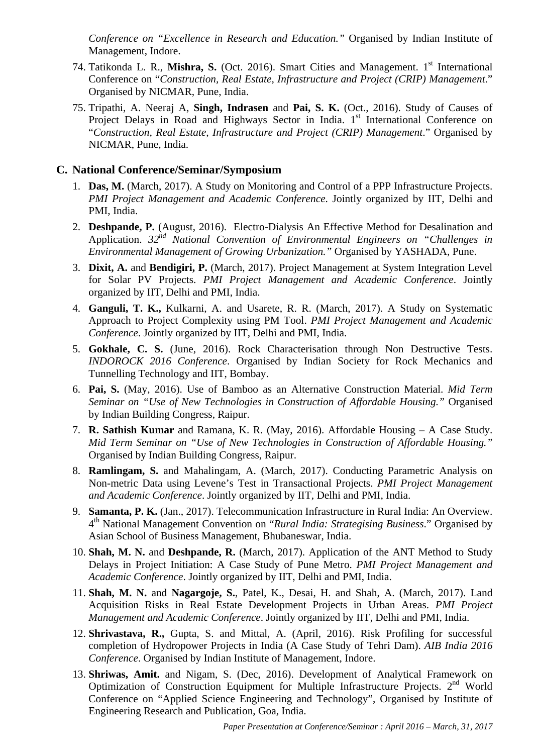*Conference on "Excellence in Research and Education."* Organised by Indian Institute of Management, Indore.

- 74. Tatikonda L. R., Mishra, S. (Oct. 2016). Smart Cities and Management. 1<sup>st</sup> International Conference on "*Construction, Real Estate, Infrastructure and Project (CRIP) Management*." Organised by NICMAR, Pune, India.
- 75. Tripathi, A. Neeraj A, **Singh, Indrasen** and **Pai, S. K.** (Oct., 2016). Study of Causes of Project Delays in Road and Highways Sector in India. 1<sup>st</sup> International Conference on "*Construction, Real Estate, Infrastructure and Project (CRIP) Management*." Organised by NICMAR, Pune, India.

# **C. National Conference/Seminar/Symposium**

- 1. **Das, M.** (March, 2017). A Study on Monitoring and Control of a PPP Infrastructure Projects. *PMI Project Management and Academic Conference*. Jointly organized by IIT, Delhi and PMI, India.
- 2. **Deshpande, P.** (August, 2016). Electro-Dialysis An Effective Method for Desalination and Application. *32nd National Convention of Environmental Engineers on "Challenges in Environmental Management of Growing Urbanization."* Organised by YASHADA, Pune.
- 3. **Dixit, A.** and **Bendigiri, P.** (March, 2017). Project Management at System Integration Level for Solar PV Projects. *PMI Project Management and Academic Conference*. Jointly organized by IIT, Delhi and PMI, India.
- 4. **Ganguli, T. K.,** Kulkarni, A. and Usarete, R. R. (March, 2017). A Study on Systematic Approach to Project Complexity using PM Tool. *PMI Project Management and Academic Conference*. Jointly organized by IIT, Delhi and PMI, India.
- 5. **Gokhale, C. S.** (June, 2016). Rock Characterisation through Non Destructive Tests. *INDOROCK 2016 Conference*. Organised by Indian Society for Rock Mechanics and Tunnelling Technology and IIT, Bombay.
- 6. **Pai, S.** (May, 2016). Use of Bamboo as an Alternative Construction Material. *Mid Term Seminar on "Use of New Technologies in Construction of Affordable Housing."* Organised by Indian Building Congress, Raipur.
- 7. **R. Sathish Kumar** and Ramana, K. R. (May, 2016). Affordable Housing A Case Study. *Mid Term Seminar on "Use of New Technologies in Construction of Affordable Housing."* Organised by Indian Building Congress, Raipur.
- 8. **Ramlingam, S.** and Mahalingam, A. (March, 2017). Conducting Parametric Analysis on Non-metric Data using Levene's Test in Transactional Projects. *PMI Project Management and Academic Conference*. Jointly organized by IIT, Delhi and PMI, India.
- 9. **Samanta, P. K.** (Jan., 2017). Telecommunication Infrastructure in Rural India: An Overview. 4th National Management Convention on "*Rural India: Strategising Business*." Organised by Asian School of Business Management, Bhubaneswar, India.
- 10. **Shah, M. N.** and **Deshpande, R.** (March, 2017). Application of the ANT Method to Study Delays in Project Initiation: A Case Study of Pune Metro. *PMI Project Management and Academic Conference*. Jointly organized by IIT, Delhi and PMI, India.
- 11. **Shah, M. N.** and **Nagargoje, S.**, Patel, K., Desai, H. and Shah, A. (March, 2017). Land Acquisition Risks in Real Estate Development Projects in Urban Areas. *PMI Project Management and Academic Conference*. Jointly organized by IIT, Delhi and PMI, India.
- 12. **Shrivastava, R.,** Gupta, S. and Mittal, A. (April, 2016). Risk Profiling for successful completion of Hydropower Projects in India (A Case Study of Tehri Dam). *AIB India 2016 Conference*. Organised by Indian Institute of Management, Indore.
- 13. **Shriwas, Amit.** and Nigam, S. (Dec, 2016). Development of Analytical Framework on Optimization of Construction Equipment for Multiple Infrastructure Projects. 2nd World Conference on "Applied Science Engineering and Technology", Organised by Institute of Engineering Research and Publication, Goa, India.